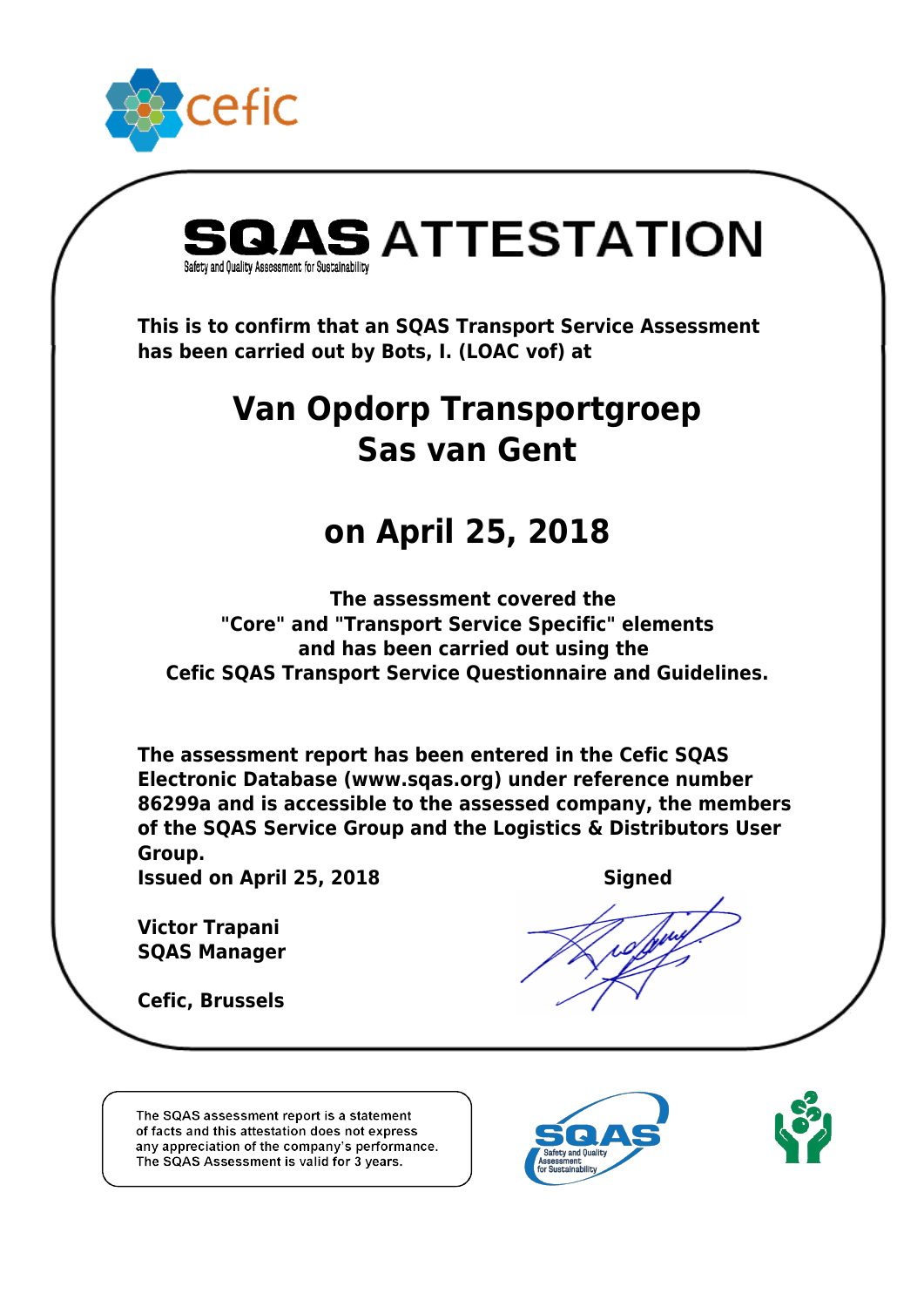



 *This is to confirm that an SQAS Transport Service Assessment has been carried out by Bots, I. (LOAC vof) at*

## *Van Opdorp Transportgroep Sas van Gent*

## *on April 25, 2018*

 *The assessment covered the "Core" and "Transport Service Specific" elements and has been carried out using the Cefic SQAS Transport Service Questionnaire and Guidelines.*

*The assessment report has been entered in the Cefic SQAS Electronic Database (www.sqas.org) under reference number 86299a and is accessible to the assessed company, the members of the SQAS Service Group and the Logistics & Distributors User Group.*

*Issued on April 25, 2018*

*Victor Trapani SQAS Manager*

*Cefic, Brussels*

The SQAS assessment report is a statement of facts and this attestation does not express any appreciation of the company's performance. The SQAS Assessment is valid for 3 years.





 *Signed*